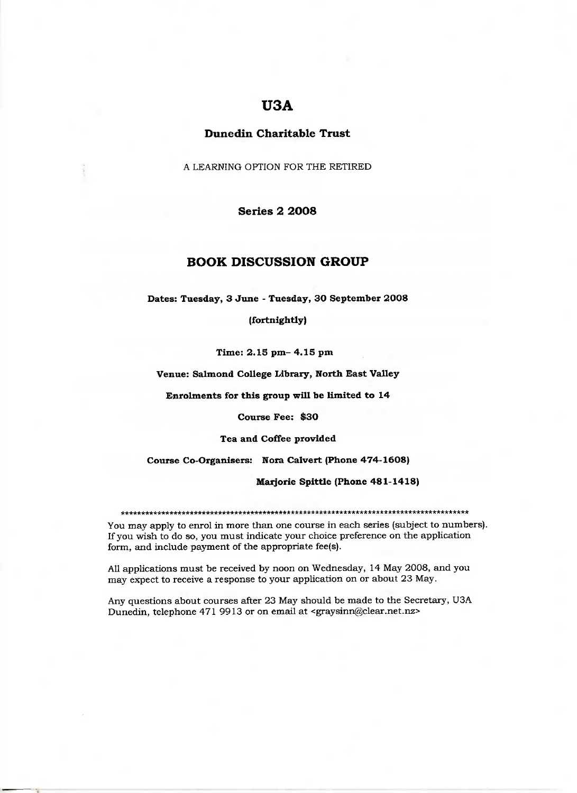# **U3A**

## **Dunedin Charitable Trust**

A LEARNING OPTION FOR THE RETIRED

## **Series 2 2008**

## **BOOK DISCUSSION GROUP**

**Dates: Tuesday, 3 June - Tuesday, 30 September 2008**

**(fortnightly)**

Time: 2.15 **pm- 4.15 pm**

**Venue: Salmond College Library, North East Valley**

**Enrolments for this group will be limited to 14**

**Course Fee: \$30**

**Tea and Coffee provided**

**Course Co-Organisers: Nora** Calvert **(Phone 474-1608)**

**Marjorie Spittle (Phone 481-1418)**

#### \*\*\*\*\*\*\*\*\*\*\*\*\*\*\*\*\*\*\*\*\*\*\*\*\*\*\*\*\*\*\*\*\*\*\*\*\*\*\*\*\*\*\*\*\*\*\*\*\*\*\*\*\*\*\*\*\*\*\*\*\*\*\*\*\*\*\*\*\*\*\*\*\*

You may apply to enrol in more than one course in each series (subject to numbers). If you wish to do so, you must indicate your choice preference on the application form, and include payment of the appropriate fee(s).

All applications must be received by noon on Wednesday, 14 May 2008, and you may expect to receive a response to your application on or about 23 May.

Any questions about courses after 23 May should be made to the Secretary, U3A Dunedin, telephone 471 9913 or on email at <graysinn@clear.net.nz>